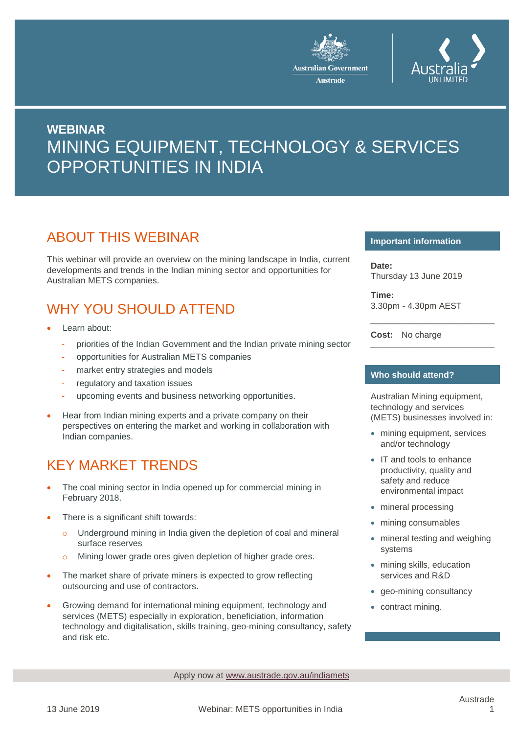



# **WEBINAR** MINING EQUIPMENT, TECHNOLOGY & SERVICES OPPORTUNITIES IN INDIA

### ABOUT THIS WEBINAR

This webinar will provide an overview on the mining landscape in India, current developments and trends in the Indian mining sector and opportunities for Australian METS companies.

## WHY YOU SHOULD ATTEND

- Learn about:
	- priorities of the Indian Government and the Indian private mining sector
	- opportunities for Australian METS companies
	- market entry strategies and models
	- regulatory and taxation issues
	- upcoming events and business networking opportunities.
- Hear from Indian mining experts and a private company on their perspectives on entering the market and working in collaboration with Indian companies.

# KEY MARKET TRENDS

- The coal mining sector in India opened up for commercial mining in February 2018.
- There is a significant shift towards:
	- Underground mining in India given the depletion of coal and mineral surface reserves
	- o Mining lower grade ores given depletion of higher grade ores.
- The market share of private miners is expected to grow reflecting outsourcing and use of contractors.
- Growing demand for international mining equipment, technology and services (METS) especially in exploration, beneficiation, information technology and digitalisation, skills training, geo-mining consultancy, safety and risk etc.

#### **Important information**

**Date:** Thursday 13 June 2019

**Time:** 3.30pm - 4.30pm AEST

**Cost:** No charge

#### **Who should attend?**

Australian Mining equipment, technology and services (METS) businesses involved in:

- mining equipment, services and/or technology
- IT and tools to enhance productivity, quality and safety and reduce environmental impact
- mineral processing
- mining consumables
- mineral testing and weighing systems
- mining skills, education services and R&D
- geo-mining consultancy
- contract mining.